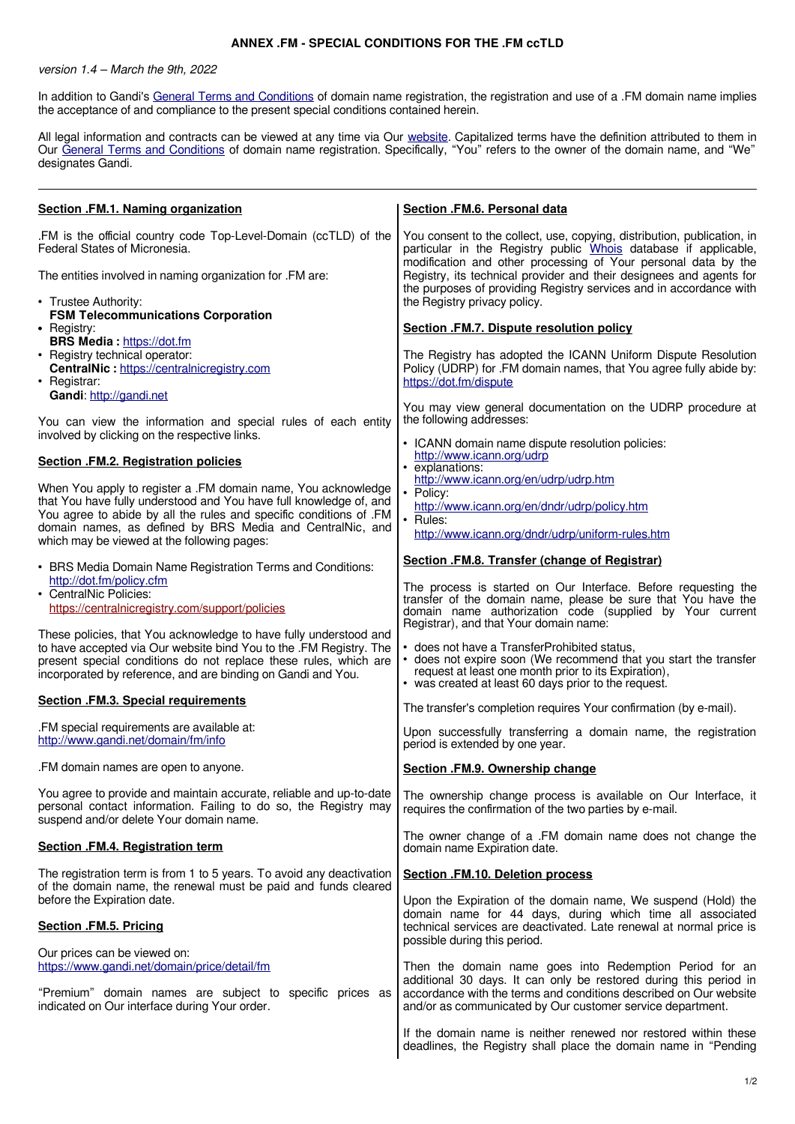## **ANNEX .FM - SPECIAL CONDITIONS FOR THE .FM ccTLD**

version 1.4 – March the 9th, 2022

In addition to Gandi's [General Terms and Conditions](https://www.gandi.net/en/contracts/terms-of-service) of domain name registration, the registration and use of a .FM domain name implies the acceptance of and compliance to the present special conditions contained herein.

All legal information and contracts can be viewed at any time via Our [website.](https://www.gandi.net/en) Capitalized terms have the definition attributed to them in Our [General Terms and Conditions](https://www.gandi.net/fr/contracts/terms-of-service) of domain name registration. Specifically, "You" refers to the owner of the domain name, and "We" designates Gandi.

| Section .FM.1. Naming organization                                                                                                                                                                                                                                                                                                                                   | Section .FM.6. Personal data                                                                                                                                                                                                                                           |
|----------------------------------------------------------------------------------------------------------------------------------------------------------------------------------------------------------------------------------------------------------------------------------------------------------------------------------------------------------------------|------------------------------------------------------------------------------------------------------------------------------------------------------------------------------------------------------------------------------------------------------------------------|
| .FM is the official country code Top-Level-Domain (ccTLD) of the<br>Federal States of Micronesia.                                                                                                                                                                                                                                                                    | You consent to the collect, use, copying, distribution, publication, in<br>particular in the Registry public Whois database if applicable,<br>modification and other processing of Your personal data by the                                                           |
| The entities involved in naming organization for .FM are:<br>• Trustee Authority:                                                                                                                                                                                                                                                                                    | Registry, its technical provider and their designees and agents for<br>the purposes of providing Registry services and in accordance with<br>the Registry privacy policy.                                                                                              |
| <b>FSM Telecommunications Corporation</b><br>• Registry:                                                                                                                                                                                                                                                                                                             | Section .FM.7. Dispute resolution policy                                                                                                                                                                                                                               |
| <b>BRS Media: https://dot.fm</b><br>• Registry technical operator:<br>CentralNic: https://centralnicregistry.com<br>• Registrar:<br>Gandi: http://gandi.net                                                                                                                                                                                                          | The Registry has adopted the ICANN Uniform Dispute Resolution<br>Policy (UDRP) for .FM domain names, that You agree fully abide by:<br>https://dot.fm/dispute                                                                                                          |
| You can view the information and special rules of each entity<br>involved by clicking on the respective links.                                                                                                                                                                                                                                                       | You may view general documentation on the UDRP procedure at<br>the following addresses:                                                                                                                                                                                |
| <b>Section .FM.2. Registration policies</b><br>When You apply to register a .FM domain name, You acknowledge<br>that You have fully understood and You have full knowledge of, and<br>You agree to abide by all the rules and specific conditions of .FM<br>domain names, as defined by BRS Media and CentralNic, and<br>which may be viewed at the following pages: | • ICANN domain name dispute resolution policies:<br>http://www.icann.org/udrp<br>• explanations:<br>http://www.icann.org/en/udrp/udrp.htm<br>• Policy:<br>http://www.icann.org/en/dndr/udrp/policy.htm<br>• Rules:<br>http://www.icann.org/dndr/udrp/uniform-rules.htm |
| • BRS Media Domain Name Registration Terms and Conditions:<br>http://dot.fm/policy.cfm                                                                                                                                                                                                                                                                               | Section .FM.8. Transfer (change of Registrar)                                                                                                                                                                                                                          |
| • CentralNic Policies:<br>https://centralnicregistry.com/support/policies                                                                                                                                                                                                                                                                                            | The process is started on Our Interface. Before requesting the<br>transfer of the domain name, please be sure that You have the<br>domain name authorization code (supplied by Your current<br>Registrar), and that Your domain name:                                  |
| These policies, that You acknowledge to have fully understood and<br>to have accepted via Our website bind You to the .FM Registry. The<br>present special conditions do not replace these rules, which are<br>incorporated by reference, and are binding on Gandi and You.                                                                                          | • does not have a TransferProhibited status,<br>• does not expire soon (We recommend that you start the transfer<br>request at least one month prior to its Expiration),<br>• was created at least 60 days prior to the request.                                       |
| <b>Section .FM.3. Special requirements</b>                                                                                                                                                                                                                                                                                                                           | The transfer's completion requires Your confirmation (by e-mail).                                                                                                                                                                                                      |
| .FM special requirements are available at:<br>http://www.gandi.net/domain/fm/info                                                                                                                                                                                                                                                                                    | Upon successfully transferring a domain name, the registration<br>period is extended by one year.                                                                                                                                                                      |
| .FM domain names are open to anyone.                                                                                                                                                                                                                                                                                                                                 | Section .FM.9. Ownership change                                                                                                                                                                                                                                        |
| personal contact information. Failing to do so, the Registry may<br>suspend and/or delete Your domain name.                                                                                                                                                                                                                                                          | You agree to provide and maintain accurate, reliable and up-to-date   The ownership change process is available on Our Interface, it<br>requires the confirmation of the two parties by e-mail.                                                                        |
| Section .FM.4. Registration term                                                                                                                                                                                                                                                                                                                                     | The owner change of a .FM domain name does not change the<br>domain name Expiration date.                                                                                                                                                                              |
| The registration term is from 1 to 5 years. To avoid any deactivation<br>of the domain name, the renewal must be paid and funds cleared                                                                                                                                                                                                                              | <b>Section .FM.10. Deletion process</b>                                                                                                                                                                                                                                |
| before the Expiration date.                                                                                                                                                                                                                                                                                                                                          | Upon the Expiration of the domain name, We suspend (Hold) the<br>domain name for 44 days, during which time all associated                                                                                                                                             |
| Section .FM.5. Pricing                                                                                                                                                                                                                                                                                                                                               | technical services are deactivated. Late renewal at normal price is<br>possible during this period.                                                                                                                                                                    |
| Our prices can be viewed on:<br>https://www.gandi.net/domain/price/detail/fm<br>"Premium" domain names are subject to specific prices as<br>indicated on Our interface during Your order.                                                                                                                                                                            | Then the domain name goes into Redemption Period for an<br>additional 30 days. It can only be restored during this period in<br>accordance with the terms and conditions described on Our website<br>and/or as communicated by Our customer service department.        |
|                                                                                                                                                                                                                                                                                                                                                                      | If the domain name is neither renewed nor restored within these<br>deadlines, the Registry shall place the domain name in "Pending                                                                                                                                     |